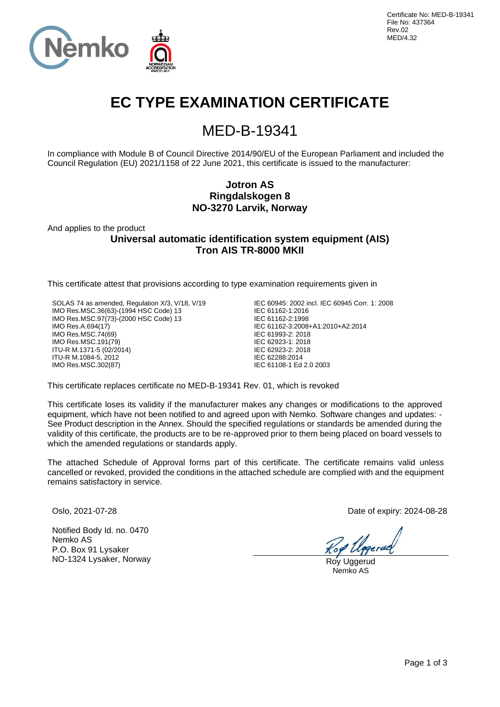

# **EC TYPE EXAMINATION CERTIFICATE**

# MED-B-19341

In compliance with Module B of Council Directive 2014/90/EU of the European Parliament and included the Council Regulation (EU) 2021/1158 of 22 June 2021, this certificate is issued to the manufacturer:

## **Jotron AS Ringdalskogen 8 NO-3270 Larvik, Norway**

And applies to the product

**Universal automatic identification system equipment (AIS) Tron AIS TR-8000 MKII**

This certificate attest that provisions according to type examination requirements given in

SOLAS 74 as amended, Regulation X/3, V/18, V/19 IMO Res.MSC.36(63)-(1994 HSC Code) 13 IMO Res.MSC.97(73)-(2000 HSC Code) 13 IMO Res.A.694(17) IMO Res.MSC.74(69) IMO Res.MSC.191(79) ITU-R M.1371-5 (02/2014) ITU-R M.1084-5, 2012 IMO Res.MSC.302(87)

IEC 60945: 2002 incl. IEC 60945 Corr. 1: 2008 IEC 61162-1:2016 IEC 61162-2:1998 IEC 61162-3:2008+A1:2010+A2:2014 IEC 61993-2: 2018 IEC 62923-1: 2018 IEC 62923-2: 2018 IEC 62288:2014 IEC 61108-1 Ed 2.0 2003

This certificate replaces certificate no MED-B-19341 Rev. 01, which is revoked

This certificate loses its validity if the manufacturer makes any changes or modifications to the approved equipment, which have not been notified to and agreed upon with Nemko. Software changes and updates: - See Product description in the Annex. Should the specified regulations or standards be amended during the validity of this certificate, the products are to be re-approved prior to them being placed on board vessels to which the amended regulations or standards apply.

The attached Schedule of Approval forms part of this certificate. The certificate remains valid unless cancelled or revoked, provided the conditions in the attached schedule are complied with and the equipment remains satisfactory in service.

Notified Body Id. no. 0470 Nemko AS P.O. Box 91 Lysaker NO-1324 Lysaker, Norway Roy Uggerud

Oslo, 2021-07-28 Date of expiry: 2024-08-28

Nemko AS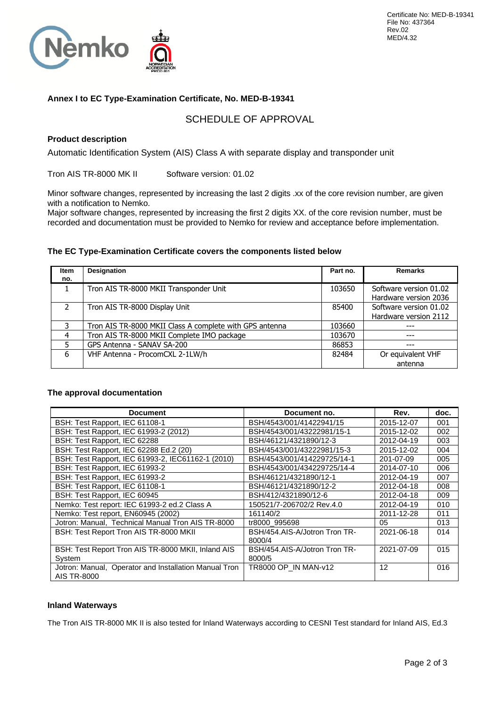

### **Annex I to EC Type-Examination Certificate, No. MED-B-19341**

## SCHEDULE OF APPROVAL

### **Product description**

Automatic Identification System (AIS) Class A with separate display and transponder unit

Tron AIS TR-8000 MK II Software version: 01.02

Minor software changes, represented by increasing the last 2 digits .xx of the core revision number, are given with a notification to Nemko.

Major software changes, represented by increasing the first 2 digits XX. of the core revision number, must be recorded and documentation must be provided to Nemko for review and acceptance before implementation.

### **The EC Type-Examination Certificate covers the components listed below**

| <b>Item</b>   | <b>Designation</b>                                      | Part no. | <b>Remarks</b>                                  |
|---------------|---------------------------------------------------------|----------|-------------------------------------------------|
| no.           |                                                         |          |                                                 |
| 1.            | Tron AIS TR-8000 MKII Transponder Unit                  | 103650   | Software version 01.02<br>Hardware version 2036 |
| $\mathcal{P}$ | Tron AIS TR-8000 Display Unit                           | 85400    | Software version 01.02<br>Hardware version 2112 |
| 3             | Tron AIS TR-8000 MKII Class A complete with GPS antenna | 103660   | ---                                             |
| 4             | Tron AIS TR-8000 MKII Complete IMO package              | 103670   | $---$                                           |
| 5             | GPS Antenna - SANAV SA-200                              | 86853    | ---                                             |
| 6             | VHF Antenna - ProcomCXL 2-1LW/h                         | 82484    | Or equivalent VHF<br>antenna                    |

#### **The approval documentation**

| <b>Document</b>                                                      | Document no.                  | Rev.       | doc. |
|----------------------------------------------------------------------|-------------------------------|------------|------|
| BSH: Test Rapport, IEC 61108-1                                       | BSH/4543/001/41422941/15      | 2015-12-07 | 001  |
| BSH: Test Rapport, IEC 61993-2 (2012)                                | BSH/4543/001/43222981/15-1    | 2015-12-02 | 002  |
| BSH: Test Rapport, IEC 62288                                         | BSH/46121/4321890/12-3        | 2012-04-19 | 003  |
| BSH: Test Rapport, IEC 62288 Ed.2 (20)                               | BSH/4543/001/43222981/15-3    | 2015-12-02 | 004  |
| BSH: Test Rapport, IEC 61993-2, IEC61162-1 (2010)                    | BSH/4543/001/414229725/14-1   | 201-07-09  | 005  |
| BSH: Test Rapport, IEC 61993-2                                       | BSH/4543/001/434229725/14-4   | 2014-07-10 | 006  |
| BSH: Test Rapport, IEC 61993-2                                       | BSH/46121/4321890/12-1        | 2012-04-19 | 007  |
| BSH: Test Rapport, IEC 61108-1                                       | BSH/46121/4321890/12-2        | 2012-04-18 | 008  |
| BSH: Test Rapport, IEC 60945                                         | BSH/412/4321890/12-6          | 2012-04-18 | 009  |
| Nemko: Test report: IEC 61993-2 ed.2 Class A                         | 150521/7-206702/2 Rev.4.0     | 2012-04-19 | 010  |
| Nemko: Test report, EN60945 (2002)                                   | 161140/2                      | 2011-12-28 | 011  |
| Jotron: Manual, Technical Manual Tron AIS TR-8000                    | tr8000 995698                 | 05         | 013  |
| BSH: Test Report Tron AIS TR-8000 MKII                               | BSH/454.AIS-A/Jotron Tron TR- | 2021-06-18 | 014  |
|                                                                      | 8000/4                        |            |      |
| BSH: Test Report Tron AIS TR-8000 MKII, Inland AIS                   | BSH/454.AIS-A/Jotron Tron TR- | 2021-07-09 | 015  |
| System                                                               | 8000/5                        |            |      |
| Jotron: Manual, Operator and Installation Manual Tron<br>AIS TR-8000 | TR8000 OP IN MAN-v12          | 12         | 016  |

#### **Inland Waterways**

The Tron AIS TR-8000 MK II is also tested for Inland Waterways according to CESNI Test standard for Inland AIS, Ed.3